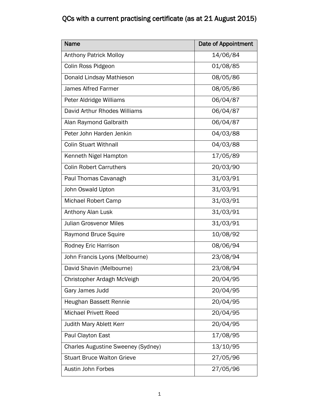| Name                                      | <b>Date of Appointment</b> |
|-------------------------------------------|----------------------------|
| <b>Anthony Patrick Molloy</b>             | 14/06/84                   |
| Colin Ross Pidgeon                        | 01/08/85                   |
| Donald Lindsay Mathieson                  | 08/05/86                   |
| <b>James Alfred Farmer</b>                | 08/05/86                   |
| Peter Aldridge Williams                   | 06/04/87                   |
| David Arthur Rhodes Williams              | 06/04/87                   |
| Alan Raymond Galbraith                    | 06/04/87                   |
| Peter John Harden Jenkin                  | 04/03/88                   |
| <b>Colin Stuart Withnall</b>              | 04/03/88                   |
| Kenneth Nigel Hampton                     | 17/05/89                   |
| <b>Colin Robert Carruthers</b>            | 20/03/90                   |
| Paul Thomas Cavanagh                      | 31/03/91                   |
| John Oswald Upton                         | 31/03/91                   |
| Michael Robert Camp                       | 31/03/91                   |
| Anthony Alan Lusk                         | 31/03/91                   |
| <b>Julian Grosvenor Miles</b>             | 31/03/91                   |
| <b>Raymond Bruce Squire</b>               | 10/08/92                   |
| Rodney Eric Harrison                      | 08/06/94                   |
| John Francis Lyons (Melbourne)            | 23/08/94                   |
| David Shavin (Melbourne)                  | 23/08/94                   |
| Christopher Ardagh McVeigh                | 20/04/95                   |
| Gary James Judd                           | 20/04/95                   |
| Heughan Bassett Rennie                    | 20/04/95                   |
| <b>Michael Privett Reed</b>               | 20/04/95                   |
| <b>Judith Mary Ablett Kerr</b>            | 20/04/95                   |
| Paul Clayton East                         | 17/08/95                   |
| <b>Charles Augustine Sweeney (Sydney)</b> | 13/10/95                   |
| <b>Stuart Bruce Walton Grieve</b>         | 27/05/96                   |
| <b>Austin John Forbes</b>                 | 27/05/96                   |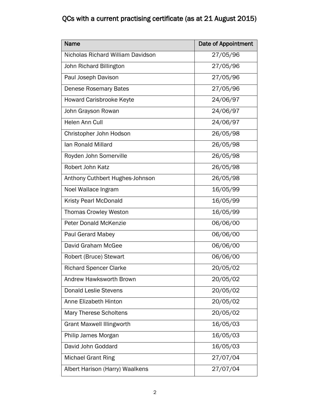| <b>Name</b>                       | Date of Appointment |
|-----------------------------------|---------------------|
| Nicholas Richard William Davidson | 27/05/96            |
| John Richard Billington           | 27/05/96            |
| Paul Joseph Davison               | 27/05/96            |
| <b>Denese Rosemary Bates</b>      | 27/05/96            |
| <b>Howard Carisbrooke Keyte</b>   | 24/06/97            |
| John Grayson Rowan                | 24/06/97            |
| Helen Ann Cull                    | 24/06/97            |
| Christopher John Hodson           | 26/05/98            |
| lan Ronald Millard                | 26/05/98            |
| Royden John Somerville            | 26/05/98            |
| Robert John Katz                  | 26/05/98            |
| Anthony Cuthbert Hughes-Johnson   | 26/05/98            |
| Noel Wallace Ingram               | 16/05/99            |
| Kristy Pearl McDonald             | 16/05/99            |
| <b>Thomas Crowley Weston</b>      | 16/05/99            |
| <b>Peter Donald McKenzie</b>      | 06/06/00            |
| <b>Paul Gerard Mabey</b>          | 06/06/00            |
| David Graham McGee                | 06/06/00            |
| Robert (Bruce) Stewart            | 06/06/00            |
| <b>Richard Spencer Clarke</b>     | 20/05/02            |
| Andrew Hawksworth Brown           | 20/05/02            |
| <b>Donald Leslie Stevens</b>      | 20/05/02            |
| Anne Elizabeth Hinton             | 20/05/02            |
| Mary Therese Scholtens            | 20/05/02            |
| <b>Grant Maxwell Illingworth</b>  | 16/05/03            |
| Philip James Morgan               | 16/05/03            |
| David John Goddard                | 16/05/03            |
| <b>Michael Grant Ring</b>         | 27/07/04            |
| Albert Harison (Harry) Waalkens   | 27/07/04            |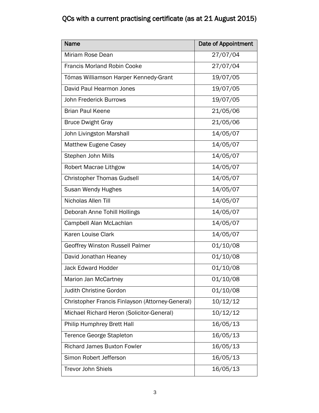| <b>Name</b>                                      | <b>Date of Appointment</b> |
|--------------------------------------------------|----------------------------|
| Miriam Rose Dean                                 | 27/07/04                   |
| <b>Francis Morland Robin Cooke</b>               | 27/07/04                   |
| Tómas Williamson Harper Kennedy-Grant            | 19/07/05                   |
| David Paul Hearmon Jones                         | 19/07/05                   |
| <b>John Frederick Burrows</b>                    | 19/07/05                   |
| <b>Brian Paul Keene</b>                          | 21/05/06                   |
| <b>Bruce Dwight Gray</b>                         | 21/05/06                   |
| John Livingston Marshall                         | 14/05/07                   |
| <b>Matthew Eugene Casey</b>                      | 14/05/07                   |
| Stephen John Mills                               | 14/05/07                   |
| <b>Robert Macrae Lithgow</b>                     | 14/05/07                   |
| <b>Christopher Thomas Gudsell</b>                | 14/05/07                   |
| Susan Wendy Hughes                               | 14/05/07                   |
| Nicholas Allen Till                              | 14/05/07                   |
| Deborah Anne Tohill Hollings                     | 14/05/07                   |
| Campbell Alan McLachlan                          | 14/05/07                   |
| Karen Louise Clark                               | 14/05/07                   |
| Geoffrey Winston Russell Palmer                  | 01/10/08                   |
| David Jonathan Heaney                            | 01/10/08                   |
| <b>Jack Edward Hodder</b>                        | 01/10/08                   |
| Marion Jan McCartney                             | 01/10/08                   |
| Judith Christine Gordon                          | 01/10/08                   |
| Christopher Francis Finlayson (Attorney-General) | 10/12/12                   |
| Michael Richard Heron (Solicitor-General)        | 10/12/12                   |
| Philip Humphrey Brett Hall                       | 16/05/13                   |
| <b>Terence George Stapleton</b>                  | 16/05/13                   |
| <b>Richard James Buxton Fowler</b>               | 16/05/13                   |
| Simon Robert Jefferson                           | 16/05/13                   |
| <b>Trevor John Shiels</b>                        | 16/05/13                   |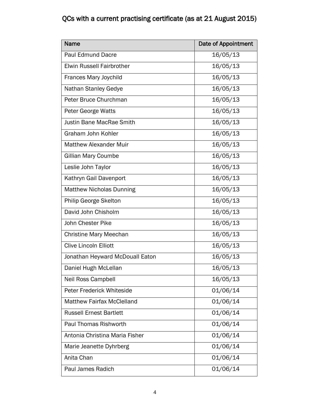| Name                              | Date of Appointment |
|-----------------------------------|---------------------|
| <b>Paul Edmund Dacre</b>          | 16/05/13            |
| <b>Elwin Russell Fairbrother</b>  | 16/05/13            |
| Frances Mary Joychild             | 16/05/13            |
| Nathan Stanley Gedye              | 16/05/13            |
| Peter Bruce Churchman             | 16/05/13            |
| Peter George Watts                | 16/05/13            |
| <b>Justin Bane MacRae Smith</b>   | 16/05/13            |
| Graham John Kohler                | 16/05/13            |
| <b>Matthew Alexander Muir</b>     | 16/05/13            |
| Gillian Mary Coumbe               | 16/05/13            |
| Leslie John Taylor                | 16/05/13            |
| Kathryn Gail Davenport            | 16/05/13            |
| <b>Matthew Nicholas Dunning</b>   | 16/05/13            |
| Philip George Skelton             | 16/05/13            |
| David John Chisholm               | 16/05/13            |
| John Chester Pike                 | 16/05/13            |
| <b>Christine Mary Meechan</b>     | 16/05/13            |
| <b>Clive Lincoln Elliott</b>      | 16/05/13            |
| Jonathan Heyward McDouall Eaton   | 16/05/13            |
| Daniel Hugh McLellan              | 16/05/13            |
| Neil Ross Campbell                | 16/05/13            |
| Peter Frederick Whiteside         | 01/06/14            |
| <b>Matthew Fairfax McClelland</b> | 01/06/14            |
| <b>Russell Ernest Bartlett</b>    | 01/06/14            |
| <b>Paul Thomas Rishworth</b>      | 01/06/14            |
| Antonia Christina Maria Fisher    | 01/06/14            |
| Marie Jeanette Dyhrberg           | 01/06/14            |
| Anita Chan                        | 01/06/14            |
| Paul James Radich                 | 01/06/14            |